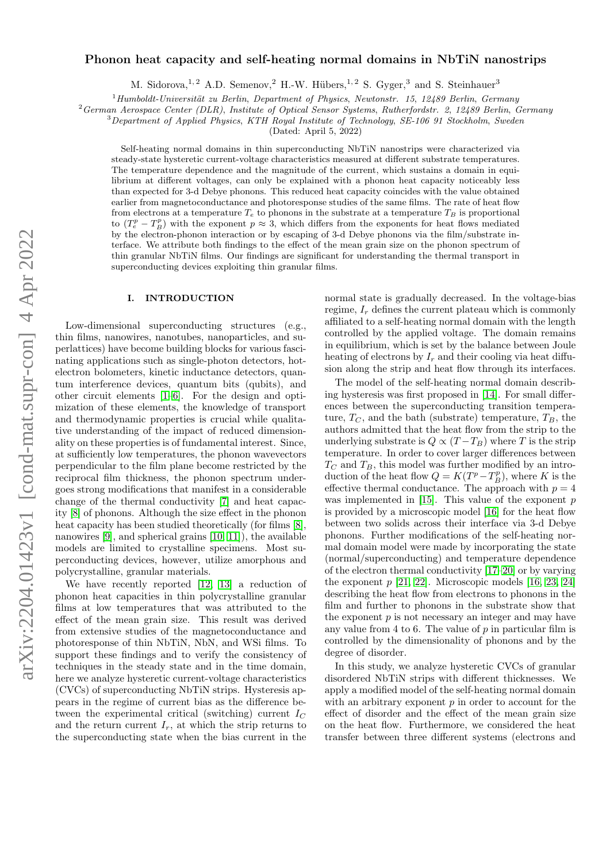# Phonon heat capacity and self-heating normal domains in NbTiN nanostrips

M. Sidorova,<sup>1, 2</sup> A.D. Semenov, <sup>2</sup> H.-W. Hübers,<sup>1, 2</sup> S. Gyger,<sup>3</sup> and S. Steinhauer<sup>3</sup>

 $1$ Humboldt-Universität zu Berlin, Department of Physics, Newtonstr. 15, 12489 Berlin, Germany

<sup>2</sup>German Aerospace Center (DLR), Institute of Optical Sensor Systems, Rutherfordstr. 2, 12489 Berlin, Germany

 $3$ Department of Applied Physics, KTH Royal Institute of Technology, SE-106 91 Stockholm, Sweden

(Dated: April 5, 2022)

Self-heating normal domains in thin superconducting NbTiN nanostrips were characterized via steady-state hysteretic current-voltage characteristics measured at different substrate temperatures. The temperature dependence and the magnitude of the current, which sustains a domain in equilibrium at different voltages, can only be explained with a phonon heat capacity noticeably less than expected for 3-d Debye phonons. This reduced heat capacity coincides with the value obtained earlier from magnetoconductance and photoresponse studies of the same films. The rate of heat flow from electrons at a temperature  $T_e$  to phonons in the substrate at a temperature  $T_B$  is proportional to  $(T_e^p - T_B^p)$  with the exponent  $p \approx 3$ , which differs from the exponents for heat flows mediated by the electron-phonon interaction or by escaping of 3-d Debye phonons via the film/substrate interface. We attribute both findings to the effect of the mean grain size on the phonon spectrum of thin granular NbTiN films. Our findings are significant for understanding the thermal transport in superconducting devices exploiting thin granular films.

# I. INTRODUCTION

Low-dimensional superconducting structures (e.g., thin films, nanowires, nanotubes, nanoparticles, and superlattices) have become building blocks for various fascinating applications such as single-photon detectors, hotelectron bolometers, kinetic inductance detectors, quantum interference devices, quantum bits (qubits), and other circuit elements [\[1–](#page-6-0)[6\]](#page-6-1). For the design and optimization of these elements, the knowledge of transport and thermodynamic properties is crucial while qualitative understanding of the impact of reduced dimensionality on these properties is of fundamental interest. Since, at sufficiently low temperatures, the phonon wavevectors perpendicular to the film plane become restricted by the reciprocal film thickness, the phonon spectrum undergoes strong modifications that manifest in a considerable change of the thermal conductivity [\[7\]](#page-6-2) and heat capacity [\[8\]](#page-6-3) of phonons. Although the size effect in the phonon heat capacity has been studied theoretically (for films  $[8]$ , nanowires [\[9\]](#page-6-4), and spherical grains [\[10,](#page-6-5) [11\]](#page-6-6)), the available models are limited to crystalline specimens. Most superconducting devices, however, utilize amorphous and polycrystalline, granular materials.

We have recently reported [\[12,](#page-6-7) [13\]](#page-6-8) a reduction of phonon heat capacities in thin polycrystalline granular films at low temperatures that was attributed to the effect of the mean grain size. This result was derived from extensive studies of the magnetoconductance and photoresponse of thin NbTiN, NbN, and WSi films. To support these findings and to verify the consistency of techniques in the steady state and in the time domain, here we analyze hysteretic current-voltage characteristics (CVCs) of superconducting NbTiN strips. Hysteresis appears in the regime of current bias as the difference between the experimental critical (switching) current  $I_C$ and the return current  $I_r$ , at which the strip returns to the superconducting state when the bias current in the normal state is gradually decreased. In the voltage-bias regime,  $I_r$  defines the current plateau which is commonly affiliated to a self-heating normal domain with the length controlled by the applied voltage. The domain remains in equilibrium, which is set by the balance between Joule heating of electrons by  $I_r$  and their cooling via heat diffusion along the strip and heat flow through its interfaces.

The model of the self-heating normal domain describing hysteresis was first proposed in [\[14\]](#page-6-9). For small differences between the superconducting transition temperature,  $T_C$ , and the bath (substrate) temperature,  $T_B$ , the authors admitted that the heat flow from the strip to the underlying substrate is  $Q \propto (T - T_B)$  where T is the strip temperature. In order to cover larger differences between  $T_C$  and  $T_B$ , this model was further modified by an introduction of the heat flow  $Q = K(T^p - T^p_B)$ , where K is the effective thermal conductance. The approach with  $p = 4$ was implemented in  $[15]$ . This value of the exponent p is provided by a microscopic model [\[16\]](#page-6-11) for the heat flow between two solids across their interface via 3-d Debye phonons. Further modifications of the self-heating normal domain model were made by incorporating the state (normal/superconducting) and temperature dependence of the electron thermal conductivity [\[17–](#page-6-12)[20\]](#page-6-13) or by varying the exponent  $p$  [\[21,](#page-6-14) [22\]](#page-6-15). Microscopic models [\[16,](#page-6-11) [23,](#page-6-16) [24\]](#page-6-17) describing the heat flow from electrons to phonons in the film and further to phonons in the substrate show that the exponent  $p$  is not necessary an integer and may have any value from 4 to 6. The value of  $p$  in particular film is controlled by the dimensionality of phonons and by the degree of disorder.

In this study, we analyze hysteretic CVCs of granular disordered NbTiN strips with different thicknesses. We apply a modified model of the self-heating normal domain with an arbitrary exponent  $p$  in order to account for the effect of disorder and the effect of the mean grain size on the heat flow. Furthermore, we considered the heat transfer between three different systems (electrons and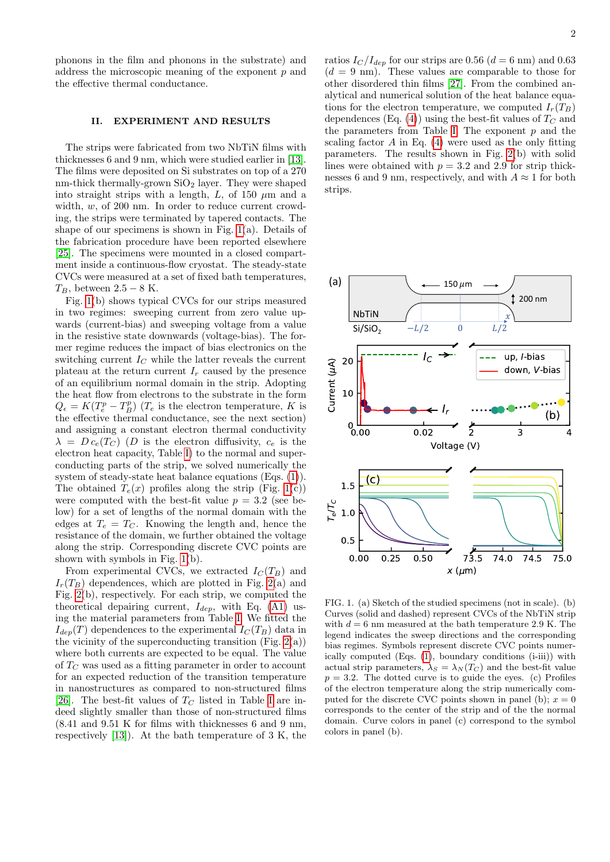phonons in the film and phonons in the substrate) and address the microscopic meaning of the exponent  $p$  and the effective thermal conductance.

# II. EXPERIMENT AND RESULTS

The strips were fabricated from two NbTiN films with thicknesses 6 and 9 nm, which were studied earlier in [\[13\]](#page-6-8). The films were deposited on Si substrates on top of a 270 nm-thick thermally-grown  $SiO<sub>2</sub>$  layer. They were shaped into straight strips with a length,  $L$ , of 150  $\mu$ m and a width, w, of 200 nm. In order to reduce current crowding, the strips were terminated by tapered contacts. The shape of our specimens is shown in Fig. [1\(](#page-1-0)a). Details of the fabrication procedure have been reported elsewhere [\[25\]](#page-6-18). The specimens were mounted in a closed compartment inside a continuous-flow cryostat. The steady-state CVCs were measured at a set of fixed bath temperatures,  $T_B$ , between 2.5 – 8 K.

Fig. [1\(](#page-1-0)b) shows typical CVCs for our strips measured in two regimes: sweeping current from zero value upwards (current-bias) and sweeping voltage from a value in the resistive state downwards (voltage-bias). The former regime reduces the impact of bias electronics on the switching current  $I_C$  while the latter reveals the current plateau at the return current  $I_r$  caused by the presence of an equilibrium normal domain in the strip. Adopting the heat flow from electrons to the substrate in the form  $Q_{\epsilon} = K(T_{e}^{p} - T_{B}^{p})$  ( $T_{e}$  is the electron temperature, K is the effective thermal conductance, see the next section) and assigning a constant electron thermal conductivity  $\lambda = D c_e(T_C)$  (D is the electron diffusivity,  $c_e$  is the electron heat capacity, Table [I\)](#page-2-0) to the normal and superconducting parts of the strip, we solved numerically the system of steady-state heat balance equations (Eqs. [\(1\)](#page-3-0)). The obtained  $T_e(x)$  profiles along the strip (Fig. [1\(](#page-1-0)c)) were computed with the best-fit value  $p = 3.2$  (see below) for a set of lengths of the normal domain with the edges at  $T_e = T_C$ . Knowing the length and, hence the resistance of the domain, we further obtained the voltage along the strip. Corresponding discrete CVC points are shown with symbols in Fig. [1\(](#page-1-0)b).

From experimental CVCs, we extracted  $I<sub>C</sub>(T<sub>B</sub>)$  and  $I_r(T_B)$  dependences, which are plotted in Fig. [2\(](#page-2-1)a) and Fig. [2\(](#page-2-1)b), respectively. For each strip, we computed the theoretical depairing current,  $I_{dep}$ , with Eq. [\(A1\)](#page-5-0) using the material parameters from Table [I.](#page-2-0) We fitted the  $I_{dep}(T)$  dependences to the experimental  $I_C(T_B)$  data in the vicinity of the superconducting transition (Fig.  $2(a)$ ) where both currents are expected to be equal. The value of  $T_C$  was used as a fitting parameter in order to account for an expected reduction of the transition temperature in nanostructures as compared to non-structured films [\[26\]](#page-6-19). The best-fit values of  $T_C$  listed in Table [I](#page-2-0) are indeed slightly smaller than those of non-structured films (8.41 and 9.51 K for films with thicknesses 6 and 9 nm, respectively [\[13\]](#page-6-8)). At the bath temperature of 3 K, the ratios  $I_C/I_{dep}$  for our strips are 0.56 ( $d = 6$  nm) and 0.63  $(d = 9 \text{ nm})$ . These values are comparable to those for other disordered thin films [\[27\]](#page-7-0). From the combined analytical and numerical solution of the heat balance equations for the electron temperature, we computed  $I_r(T_B)$ dependences (Eq. [\(4\)](#page-3-1)) using the best-fit values of  $T_C$  and the parameters from Table [I.](#page-2-0) The exponent  $p$  and the scaling factor  $A$  in Eq. [\(4\)](#page-3-1) were used as the only fitting parameters. The results shown in Fig. [2\(](#page-2-1)b) with solid lines were obtained with  $p = 3.2$  and 2.9 for strip thicknesses 6 and 9 nm, respectively, and with  $A \approx 1$  for both strips.



<span id="page-1-0"></span>FIG. 1. (a) Sketch of the studied specimens (not in scale). (b) Curves (solid and dashed) represent CVCs of the NbTiN strip with  $d = 6$  nm measured at the bath temperature 2.9 K. The legend indicates the sweep directions and the corresponding bias regimes. Symbols represent discrete CVC points numerically computed (Eqs. [\(1\)](#page-3-0), boundary conditions (i-iii)) with actual strip parameters,  $\lambda_S = \lambda_N(T_C)$  and the best-fit value  $p = 3.2$ . The dotted curve is to guide the eyes. (c) Profiles of the electron temperature along the strip numerically computed for the discrete CVC points shown in panel (b);  $x = 0$ corresponds to the center of the strip and of the the normal domain. Curve colors in panel (c) correspond to the symbol colors in panel (b).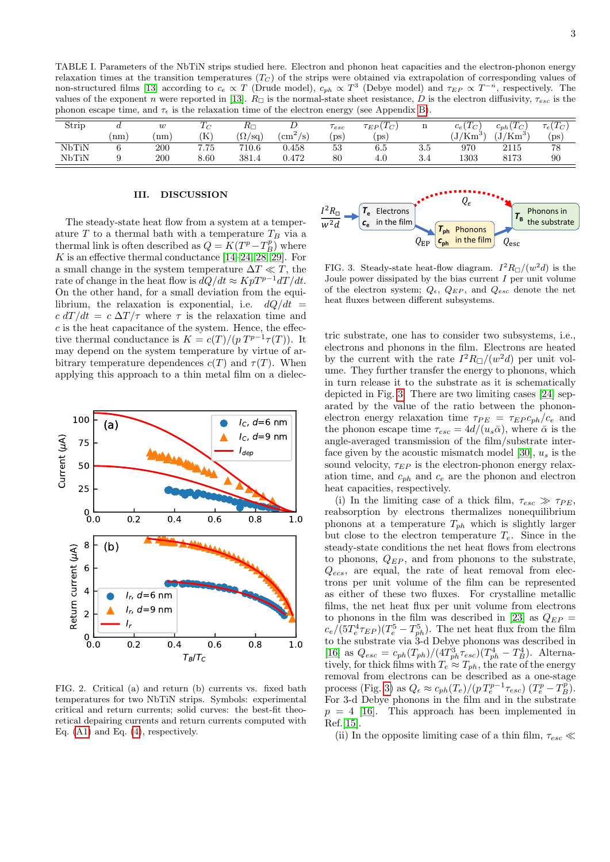<span id="page-2-0"></span>TABLE I. Parameters of the NbTiN strips studied here. Electron and phonon heat capacities and the electron-phonon energy relaxation times at the transition temperatures  $(T<sub>C</sub>)$  of the strips were obtained via extrapolation of corresponding values of non-structured films [\[13\]](#page-6-8) according to  $c_e \propto T$  (Drude model),  $c_{ph} \propto T^3$  (Debye model) and  $\tau_{EP} \propto T^{-n}$ , respectively. The values of the exponent n were reported in [\[13\]](#page-6-8).  $R_{\Box}$  is the normal-state sheet resistance, D is the electron diffusivity,  $\tau_{esc}$  is the phonon escape time, and  $\tau_{\epsilon}$  is the relaxation time of the electron energy (see Appendix [B\)](#page-5-1).

| Strip |      | w   |          | $R_{\Box}$             | ⊅              | $\tau_{esc}$ | $\tau_{EP}(T_C)$ |     | $c_e$ ( $1_C$ )          | ${}^\prime T_C$<br>$c_{ph}$ | $\tau_{\epsilon}(T_{C})$ |
|-------|------|-----|----------|------------------------|----------------|--------------|------------------|-----|--------------------------|-----------------------------|--------------------------|
|       | (nm) | nm  | ίK       | $(\Omega/\mathrm{sq})$ | $\rm (cm^2/s)$ | $_{\rm ps}$  | $(\mathrm{ps}$   |     | $\rm (J/Km^3)$<br>، آب ا | $(J/Km^3)$                  | $(\mathrm{ps})$          |
| NbTiN |      | 200 | 7.75     | 710.6                  | $_{0.458}$     | 53           | 6.5              | .ა. | 970                      | 2115                        | 78                       |
| NbTiN |      | 200 | $8.60\,$ | 381.4                  | 0.472          | $_{80}$      | 4.U              | 3.4 | $_{1303}$                | 8173                        | 90                       |

## III. DISCUSSION

The steady-state heat flow from a system at a temperature  $T$  to a thermal bath with a temperature  $T_B$  via a thermal link is often described as  $Q = K(T^{p}-T^{p}_{B})$  where K is an effective thermal conductance  $[14–24, 28, 29]$  $[14–24, 28, 29]$  $[14–24, 28, 29]$  $[14–24, 28, 29]$ . For a small change in the system temperature  $\Delta T \ll T$ , the rate of change in the heat flow is  $dQ/dt \approx KpT^{p-1}dT/dt$ . On the other hand, for a small deviation from the equilibrium, the relaxation is exponential, i.e.  $dQ/dt =$  $c dT/dt = c \Delta T/\tau$  where  $\tau$  is the relaxation time and  $c$  is the heat capacitance of the system. Hence, the effective thermal conductance is  $K = c(T)/(p T^{p-1} \tau(T))$ . It may depend on the system temperature by virtue of arbitrary temperature dependences  $c(T)$  and  $\tau(T)$ . When applying this approach to a thin metal film on a dielec-



<span id="page-2-1"></span>FIG. 2. Critical (a) and return (b) currents vs. fixed bath temperatures for two NbTiN strips. Symbols: experimental critical and return currents; solid curves: the best-fit theoretical depairing currents and return currents computed with Eq. [\(A1\)](#page-5-0) and Eq. [\(4\)](#page-3-1), respectively.



<span id="page-2-2"></span>FIG. 3. Steady-state heat-flow diagram.  $I^2 R_{\Box}/(w^2 d)$  is the Joule power dissipated by the bias current  $I$  per unit volume of the electron system;  $Q_{\epsilon}$ ,  $Q_{EP}$ , and  $Q_{esc}$  denote the net heat fluxes between different subsystems.

tric substrate, one has to consider two subsystems, i.e., electrons and phonons in the film. Electrons are heated by the current with the rate  $I^2 R_{\Box}/(w^2 d)$  per unit volume. They further transfer the energy to phonons, which in turn release it to the substrate as it is schematically depicted in Fig. [3.](#page-2-2) There are two limiting cases [\[24\]](#page-6-17) separated by the value of the ratio between the phononelectron energy relaxation time  $\tau_{PE} = \tau_{EP} c_{ph}/c_e$  and the phonon escape time  $\tau_{esc} = 4d/(u_s\bar{\alpha})$ , where  $\bar{\alpha}$  is the angle-averaged transmission of the film/substrate inter-face given by the acoustic mismatch model [\[30\]](#page-7-3),  $u_s$  is the sound velocity,  $\tau_{EP}$  is the electron-phonon energy relaxation time, and  $c_{ph}$  and  $c_e$  are the phonon and electron heat capacities, respectively.

(i) In the limiting case of a thick film,  $\tau_{esc} \gg \tau_{PE}$ , reabsorption by electrons thermalizes nonequilibrium phonons at a temperature  $T_{ph}$  which is slightly larger but close to the electron temperature  $T_e$ . Since in the steady-state conditions the net heat flows from electrons to phonons,  $Q_{EP}$ , and from phonons to the substrate,  $Q_{ecs}$ , are equal, the rate of heat removal from electrons per unit volume of the film can be represented as either of these two fluxes. For crystalline metallic films, the net heat flux per unit volume from electrons to phonons in the film was described in [\[23\]](#page-6-16) as  $Q_{EP}$  =  $c_e/(5T_e^4 \tau_{EP})$  $(T_e^5 - T_{ph}^5)$ . The net heat flux from the film to the substrate via 3-d Debye phonons was described in [\[16\]](#page-6-11) as  $Q_{esc} = c_{ph}(T_{ph})/(4T_{ph}^3 \tau_{esc})(T_{ph}^4 - T_B^4)$ . Alternatively, for thick films with  $T_e \approx T_{ph}$ , the rate of the energy removal from electrons can be described as a one-stage process (Fig. [3\)](#page-2-2) as  $Q_{\epsilon} \approx c_{ph}(T_e)/(p T_e^{p-1} \tau_{esc}) (T_e^p - T_B^p)$ . For 3-d Debye phonons in the film and in the substrate  $p = 4$  [\[16\]](#page-6-11). This approach has been implemented in Ref.[\[15\]](#page-6-10).

(ii) In the opposite limiting case of a thin film,  $\tau_{esc} \ll$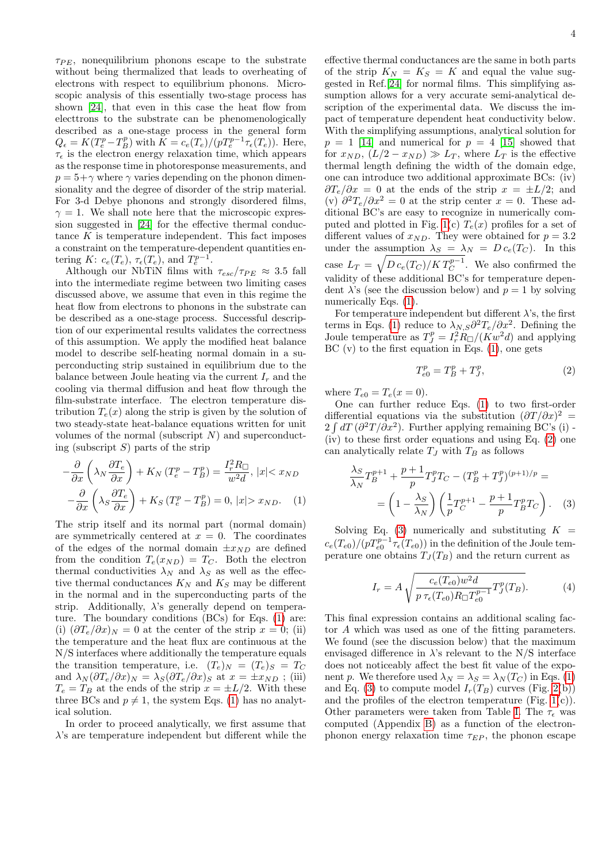$\tau_{PE}$ , nonequilibrium phonons escape to the substrate without being thermalized that leads to overheating of electrons with respect to equilibrium phonons. Microscopic analysis of this essentially two-stage process has shown [\[24\]](#page-6-17), that even in this case the heat flow from electtrons to the substrate can be phenomenologically described as a one-stage process in the general form  $Q_{\epsilon} = K(T_{e}^{p} - T_{B}^{p})$  with  $K = c_{e}(T_{e})/(pT_{e}^{p-1}\tau_{\epsilon}(T_{e}))$ . Here,  $\tau_{\epsilon}$  is the electron energy relaxation time, which appears as the response time in photoresponse measurements, and  $p = 5 + \gamma$  where  $\gamma$  varies depending on the phonon dimensionality and the degree of disorder of the strip material. For 3-d Debye phonons and strongly disordered films,  $\gamma = 1$ . We shall note here that the microscopic expression suggested in [\[24\]](#page-6-17) for the effective thermal conductance  $K$  is temperature independent. This fact imposes a constraint on the temperature-dependent quantities entering K:  $c_e(T_e)$ ,  $\tau_{\epsilon}(T_e)$ , and  $T_e^{p-1}$ .

Although our NbTiN films with  $\tau_{esc}/\tau_{PE} \approx 3.5$  fall into the intermediate regime between two limiting cases discussed above, we assume that even in this regime the heat flow from electrons to phonons in the substrate can be described as a one-stage process. Successful description of our experimental results validates the correctness of this assumption. We apply the modified heat balance model to describe self-heating normal domain in a superconducting strip sustained in equilibrium due to the balance between Joule heating via the current  $I_r$  and the cooling via thermal diffusion and heat flow through the film-substrate interface. The electron temperature distribution  $T_e(x)$  along the strip is given by the solution of two steady-state heat-balance equations written for unit volumes of the normal (subscript  $N$ ) and superconducting (subscript  $S$ ) parts of the strip

$$
-\frac{\partial}{\partial x}\left(\lambda_N \frac{\partial T_e}{\partial x}\right) + K_N \left(T_e^p - T_B^p\right) = \frac{I_r^2 R_\square}{w^2 d}, \ |x| < x_{ND}
$$
\n
$$
-\frac{\partial}{\partial x}\left(\lambda_S \frac{\partial T_e}{\partial x}\right) + K_S \left(T_e^p - T_B^p\right) = 0, \ |x| > x_{ND}.\tag{1}
$$

The strip itself and its normal part (normal domain) are symmetrically centered at  $x = 0$ . The coordinates of the edges of the normal domain  $\pm x_{ND}$  are defined from the condition  $T_e(x_{ND}) = T_C$ . Both the electron thermal conductivities  $\lambda_N$  and  $\lambda_S$  as well as the effective thermal conductances  $K_N$  and  $K_S$  may be different in the normal and in the superconducting parts of the strip. Additionally,  $\lambda$ 's generally depend on temperature. The boundary conditions (BCs) for Eqs. [\(1\)](#page-3-0) are: (i)  $(\partial T_e/\partial x)_N = 0$  at the center of the strip  $x = 0$ ; (ii) the temperature and the heat flux are continuous at the N/S interfaces where additionally the temperature equals the transition temperature, i.e.  $(T_e)_N = (T_e)_S = T_C$ and  $\lambda_N(\partial T_e/\partial x)_N = \lambda_S(\partial T_e/\partial x)_S$  at  $x = \pm x_{ND}$ ; (iii)  $T_e = T_B$  at the ends of the strip  $x = \pm L/2$ . With these three BCs and  $p \neq 1$ , the system Eqs. [\(1\)](#page-3-0) has no analytical solution.

In order to proceed analytically, we first assume that  $\lambda$ 's are temperature independent but different while the

effective thermal conductances are the same in both parts of the strip  $K_N = K_S = K$  and equal the value suggested in Ref.[\[24\]](#page-6-17) for normal films. This simplifying assumption allows for a very accurate semi-analytical description of the experimental data. We discuss the impact of temperature dependent heat conductivity below. With the simplifying assumptions, analytical solution for  $p = 1$  [\[14\]](#page-6-9) and numerical for  $p = 4$  [\[15\]](#page-6-10) showed that for  $x_{ND}$ ,  $(L/2 - x_{ND}) \gg L_T$ , where  $L_T$  is the effective thermal length defining the width of the domain edge, one can introduce two additional approximate BCs: (iv)  $\frac{\partial T_e}{\partial x} = 0$  at the ends of the strip  $x = \pm L/2$ ; and (v)  $\partial^2 T_e / \partial x^2 = 0$  at the strip center  $x = 0$ . These additional BC's are easy to recognize in numerically com-puted and plotted in Fig. [1\(](#page-1-0)c)  $T_e(x)$  profiles for a set of different values of  $x_{ND}$ . They were obtained for  $p = 3.2$ under the assumption  $\lambda_S = \lambda_N = D c_e(T_C)$ . In this case  $L_T = \sqrt{D c_e(T_C) / K T_C^{p-1}}$ . We also confirmed the validity of these additional BC's for temperature dependent  $\lambda$ 's (see the discussion below) and  $p = 1$  by solving numerically Eqs.  $(1)$ .

For temperature independent but different  $\lambda$ 's, the first terms in Eqs. [\(1\)](#page-3-0) reduce to  $\lambda_{N,S}\partial^2 T_e/\partial x^2$ . Defining the Joule temperature as  $T_J^p = I_r^2 R_{\Box}/(Kw^2 d)$  and applying  $BC (v)$  to the first equation in Eqs.  $(1)$ , one gets

<span id="page-3-2"></span>
$$
T_{e0}^p = T_B^p + T_J^p,\t\t(2)
$$

where  $T_{e0} = T_e(x = 0)$ .

One can further reduce Eqs. [\(1\)](#page-3-0) to two first-order differential equations via the substitution  $(\partial T/\partial x)^2 =$  $2 \int dT (\partial^2 T / \partial x^2)$ . Further applying remaining BC's (i) -(iv) to these first order equations and using Eq. [\(2\)](#page-3-2) one can analytically relate  $T_J$  with  $T_B$  as follows

<span id="page-3-3"></span>
$$
\frac{\lambda_S}{\lambda_N} T_B^{p+1} + \frac{p+1}{p} T_J^p T_C - (T_B^p + T_J^p)^{(p+1)/p} =
$$
  
=  $\left(1 - \frac{\lambda_S}{\lambda_N}\right) \left(\frac{1}{p} T_C^{p+1} - \frac{p+1}{p} T_B^p T_C\right).$  (3)

<span id="page-3-0"></span>Solving Eq.  $(3)$  numerically and substituting  $K =$  $c_e(T_{e0})/(pT_{e0}^{p-1}\tau_{\epsilon}(T_{e0}))$  in the definition of the Joule temperature one obtains  $T_J(T_B)$  and the return current as

<span id="page-3-1"></span>
$$
I_r = A \sqrt{\frac{c_e(T_{e0})w^2 d}{p \tau_e(T_{e0}) R_{\square} T_{e0}^{p-1}} T_J^p(T_B)}.
$$
 (4)

This final expression contains an additional scaling factor A which was used as one of the fitting parameters. We found (see the discussion below) that the maximum envisaged difference in  $\lambda$ 's relevant to the N/S interface does not noticeably affect the best fit value of the exponent p. We therefore used  $\lambda_N = \lambda_S = \lambda_N (T_C)$  in Eqs. [\(1\)](#page-3-0) and Eq. [\(3\)](#page-3-3) to compute model  $I_r(T_B)$  curves (Fig. [2\(](#page-2-1)b)) and the profiles of the electron temperature (Fig.  $1(c)$ ). Other parameters were taken from Table [I.](#page-2-0) The  $\tau_{\epsilon}$  was computed (Appendix [B\)](#page-5-1) as a function of the electronphonon energy relaxation time  $\tau_{EP}$ , the phonon escape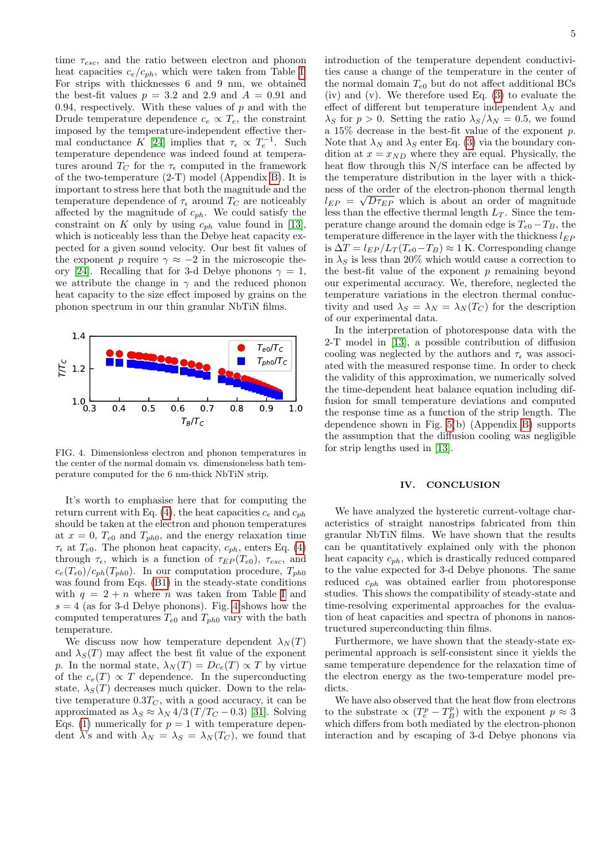time  $\tau_{esc}$ , and the ratio between electron and phonon heat capacities  $c_e/c_{ph}$ , which were taken from Table [I.](#page-2-0) For strips with thicknesses 6 and 9 nm, we obtained the best-fit values  $p = 3.2$  and  $2.9$  and  $A = 0.91$  and 0.94, respectively. With these values of  $p$  and with the Drude temperature dependence  $c_e \propto T_e$ , the constraint imposed by the temperature-independent effective ther-mal conductance K [\[24\]](#page-6-17) implies that  $\tau_{\epsilon} \propto T_e^{-1}$ . Such temperature dependence was indeed found at temperatures around  $T_C$  for the  $\tau_{\epsilon}$  computed in the framework of the two-temperature (2-T) model (Appendix [B\)](#page-5-1). It is important to stress here that both the magnitude and the temperature dependence of  $\tau_{\epsilon}$  around  $T_C$  are noticeably affected by the magnitude of  $c_{ph}$ . We could satisfy the constraint on K only by using  $c_{ph}$  value found in [\[13\]](#page-6-8), which is noticeably less than the Debye heat capacity expected for a given sound velocity. Our best fit values of the exponent p require  $\gamma \approx -2$  in the microscopic the-ory [\[24\]](#page-6-17). Recalling that for 3-d Debye phonons  $\gamma = 1$ , we attribute the change in  $\gamma$  and the reduced phonon heat capacity to the size effect imposed by grains on the phonon spectrum in our thin granular NbTiN films.



<span id="page-4-0"></span>FIG. 4. Dimensionless electron and phonon temperatures in the center of the normal domain vs. dimensioneless bath temperature computed for the 6 nm-thick NbTiN strip.

It's worth to emphasise here that for computing the return current with Eq. [\(4\)](#page-3-1), the heat capacities  $c_e$  and  $c_{ph}$ should be taken at the electron and phonon temperatures at  $x = 0$ ,  $T_{e0}$  and  $T_{ph0}$ , and the energy relaxation time  $\tau_{\epsilon}$  at  $T_{e0}$ . The phonon heat capacity,  $c_{ph}$ , enters Eq. [\(4\)](#page-3-1) through  $\tau_{\epsilon}$ , which is a function of  $\tau_{EP}(T_{e0})$ ,  $\tau_{esc}$ , and  $c_e(T_{e0})/c_{ph}(T_{ph0})$ . In our computation procedure,  $T_{ph0}$ was found from Eqs. [\(B1\)](#page-5-2) in the steady-state conditions with  $q = 2 + n$  where n was taken from Table [I](#page-2-0) and  $s = 4$  $s = 4$  (as for 3-d Debye phonons). Fig. 4 shows how the computed temperatures  $T_{e0}$  and  $T_{ph0}$  vary with the bath temperature.

We discuss now how temperature dependent  $\lambda_N(T)$ and  $\lambda_S(T)$  may affect the best fit value of the exponent p. In the normal state,  $\lambda_N(T) = Dc_e(T) \propto T$  by virtue of the  $c_e(T) \propto T$  dependence. In the superconducting state,  $\lambda_S(T)$  decreases much quicker. Down to the relative temperature  $0.3T_C$ , with a good accuracy, it can be approximated as  $\lambda_S \approx \lambda_N 4/3 (T/T_C - 0.3)$  [\[31\]](#page-7-4). Solving Eqs. [\(1\)](#page-3-0) numerically for  $p = 1$  with temperature dependent  $\lambda$ 's and with  $\lambda_N = \lambda_S = \lambda_N(T_C)$ , we found that

introduction of the temperature dependent conductivities cause a change of the temperature in the center of the normal domain  $T_{e0}$  but do not affect additional BCs (iv) and (v). We therefore used Eq. [\(3\)](#page-3-3) to evaluate the effect of different but temperature independent  $\lambda_N$  and  $\lambda_S$  for  $p > 0$ . Setting the ratio  $\lambda_S/\lambda_N = 0.5$ , we found a 15% decrease in the best-fit value of the exponent p. Note that  $\lambda_N$  and  $\lambda_S$  enter Eq. [\(3\)](#page-3-3) via the boundary condition at  $x = x_{ND}$  where they are equal. Physically, the heat flow through this N/S interface can be affected by the temperature distribution in the layer with a thickness of the order of the electron-phonon thermal length  $l_{EP} = \sqrt{D\tau_{EP}}$  which is about an order of magnitude less than the effective thermal length  $L_T$ . Since the temperature change around the domain edge is  $T_{e0} - T_B$ , the temperature difference in the layer with the thickness  $l_{EP}$ is  $\Delta T = l_{EP}/L_T (T_{e0} - T_B) \approx 1$  K. Corresponding change in  $\lambda_S$  is less than 20% which would cause a correction to the best-fit value of the exponent  $p$  remaining beyond our experimental accuracy. We, therefore, neglected the temperature variations in the electron thermal conductivity and used  $\lambda_S = \lambda_N = \lambda_N (T_C)$  for the description of our experimental data.

In the interpretation of photoresponse data with the 2-T model in [\[13\]](#page-6-8), a possible contribution of diffusion cooling was neglected by the authors and  $\tau_{\epsilon}$  was associated with the measured response time. In order to check the validity of this approximation, we numerically solved the time-dependent heat balance equation including diffusion for small temperature deviations and computed the response time as a function of the strip length. The dependence shown in Fig. [5\(](#page-5-3)b) (Appendix [B\)](#page-5-1) supports the assumption that the diffusion cooling was negligible for strip lengths used in [\[13\]](#page-6-8).

### IV. CONCLUSION

We have analyzed the hysteretic current-voltage characteristics of straight nanostrips fabricated from thin granular NbTiN films. We have shown that the results can be quantitatively explained only with the phonon heat capacity  $c_{ph}$ , which is drastically reduced compared to the value expected for 3-d Debye phonons. The same reduced  $c_{ph}$  was obtained earlier from photoresponse studies. This shows the compatibility of steady-state and time-resolving experimental approaches for the evaluation of heat capacities and spectra of phonons in nanostructured superconducting thin films.

Furthermore, we have shown that the steady-state experimental approach is self-consistent since it yields the same temperature dependence for the relaxation time of the electron energy as the two-temperature model predicts.

We have also observed that the heat flow from electrons to the substrate  $\propto (T_e^p - T_B^p)$  with the exponent  $p \approx 3$ which differs from both mediated by the electron-phonon interaction and by escaping of 3-d Debye phonons via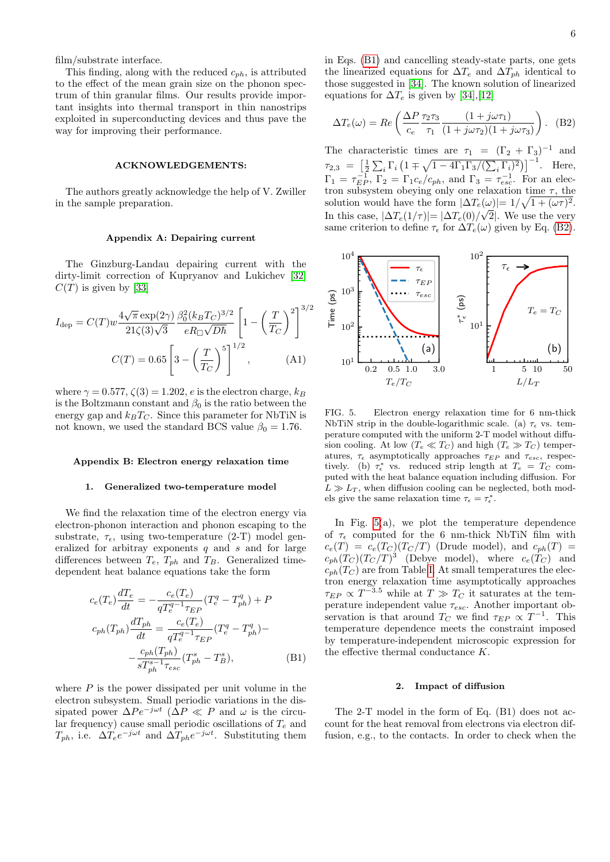film/substrate interface.

This finding, along with the reduced  $c_{ph}$ , is attributed to the effect of the mean grain size on the phonon spectrum of thin granular films. Our results provide important insights into thermal transport in thin nanostrips exploited in superconducting devices and thus pave the way for improving their performance.

## ACKNOWLEDGEMENTS:

The authors greatly acknowledge the help of V. Zwiller in the sample preparation.

#### Appendix A: Depairing current

The Ginzburg-Landau depairing current with the dirty-limit correction of Kupryanov and Lukichev [\[32\]](#page-7-5)  $C(T)$  is given by [\[33\]](#page-7-6)

$$
I_{\rm dep} = C(T)w \frac{4\sqrt{\pi} \exp(2\gamma)}{21\zeta(3)\sqrt{3}} \frac{\beta_0^2 (k_B T_C)^{3/2}}{eR_{\Box}\sqrt{D\hbar}} \left[1 - \left(\frac{T}{T_C}\right)^2\right]^{3/2}
$$

$$
C(T) = 0.65 \left[3 - \left(\frac{T}{T_C}\right)^5\right]^{1/2}, \qquad (A1)
$$

where  $\gamma = 0.577$ ,  $\zeta(3) = 1.202$ , e is the electron charge,  $k_B$ is the Boltzmann constant and  $\beta_0$  is the ratio between the energy gap and  $k_B T_C$ . Since this parameter for NbTiN is not known, we used the standard BCS value  $\beta_0 = 1.76$ .

#### <span id="page-5-1"></span>Appendix B: Electron energy relaxation time

#### 1. Generalized two-temperature model

We find the relaxation time of the electron energy via electron-phonon interaction and phonon escaping to the substrate,  $\tau_{\epsilon}$ , using two-temperature (2-T) model generalized for arbitray exponents  $q$  and  $s$  and for large differences between  $T_e$ ,  $T_{ph}$  and  $T_B$ . Generalized timedependent heat balance equations take the form

$$
c_e(T_e)\frac{dT_e}{dt} = -\frac{c_e(T_e)}{qT_e^{q-1}\tau_{EP}}(T_e^q - T_{ph}^q) + P
$$
  
\n
$$
c_{ph}(T_{ph})\frac{dT_{ph}}{dt} = \frac{c_e(T_e)}{qT_e^{q-1}\tau_{EP}}(T_e^q - T_{ph}^q) -
$$
  
\n
$$
-\frac{c_{ph}(T_{ph})}{sT_{ph}^{s-1}\tau_{esc}}(T_{ph}^s - T_B^s),
$$
\n(B1)

where  $P$  is the power dissipated per unit volume in the electron subsystem. Small periodic variations in the dissipated power  $\Delta Pe^{-j\omega t}$  ( $\overline{\Delta}P \ll P$  and  $\omega$  is the circular frequency) cause small periodic oscillations of  $T_e$  and  $T_{ph}$ , i.e.  $\Delta T_e e^{-j\omega t}$  and  $\Delta T_{ph} e^{-j\omega t}$ . Substituting them

in Eqs. [\(B1\)](#page-5-2) and cancelling steady-state parts, one gets the linearized equations for  $\Delta T_e$  and  $\Delta T_{ph}$  identical to those suggested in [\[34\]](#page-7-7). The known solution of linearized equations for  $\Delta T_e$  is given by [\[34\]](#page-7-7),[\[12\]](#page-6-7)

<span id="page-5-4"></span>
$$
\Delta T_e(\omega) = Re \left( \frac{\Delta P \tau_2 \tau_3}{c_e} \frac{(1 + j\omega \tau_1)}{(1 + j\omega \tau_2)(1 + j\omega \tau_3)} \right). \tag{B2}
$$

The characteristic times are  $\tau_1 = (\Gamma_2 + \Gamma_3)^{-1}$  and  $\tau_{2,3} = \left[\frac{1}{2}\sum_{i}\Gamma_i\left(1 \mp \sqrt{1 - 4\Gamma_1\Gamma_3/(\sum_{i}\Gamma_i)^2}\right)\right]^{-1}$ . Here,  $\Gamma_1 = \tau_{EP}^{-1}$ ,  $\Gamma_2 = \Gamma_1 c_e/c_{ph}$ , and  $\Gamma_3 = \tau_{esc}^{-1}$ . For an electron subsystem obeying only one relaxation time  $\tau$ , the solution would have the form  $|\Delta T_e(\omega)| = 1/\sqrt{1 + (\omega \tau)^2}$ . In this case,  $|\Delta T_e(1/\tau)| = |\Delta T_e(0)/\sqrt{2}|$ . We use the very same criterion to define  $\tau_{\epsilon}$  for  $\Delta T_{e}(\omega)$  given by Eq. [\(B2\)](#page-5-4).



<span id="page-5-3"></span><span id="page-5-0"></span>FIG. 5. Electron energy relaxation time for 6 nm-thick NbTiN strip in the double-logarithmic scale. (a)  $\tau_{\epsilon}$  vs. temperature computed with the uniform 2-T model without diffusion cooling. At low  $(T_e \ll T_C)$  and high  $(T_e \gg T_C)$  temperatures,  $\tau_{\epsilon}$  asymptotically approaches  $\tau_{EP}$  and  $\tau_{esc}$ , respectively. (b)  $\tau_{\epsilon}^{*}$  vs. reduced strip length at  $T_{e} = T_{C}$  computed with the heat balance equation including diffusion. For  $L \gg L_T$ , when diffusion cooling can be neglected, both models give the same relaxation time  $\tau_{\epsilon} = \tau_{\epsilon}^*$ .

In Fig.  $5(a)$ , we plot the temperature dependence of  $\tau_{\epsilon}$  computed for the 6 nm-thick NbTiN film with  $c_e(T) = c_e(T_C)(T_C/T)$  (Drude model), and  $c_{ph}(T)$  =  $c_{ph}(T_C)(T_C/T)^3$  (Debye model), where  $c_e(T_C)$  and  $c_{ph}(T_C)$  are from Table [I.](#page-2-0) At small temperatures the electron energy relaxation time asymptotically approaches  $\tau_{EP} \propto T^{-3.5}$  while at  $T \gg T_C$  it saturates at the temperature independent value  $\tau_{esc}$ . Another important observation is that around  $T_C$  we find  $\tau_{EP} \propto T^{-1}$ . This temperature dependence meets the constraint imposed by temperature-independent microscopic expression for the effective thermal conductance K.

#### 2. Impact of diffusion

<span id="page-5-2"></span>The 2-T model in the form of Eq. (B1) does not account for the heat removal from electrons via electron diffusion, e.g., to the contacts. In order to check when the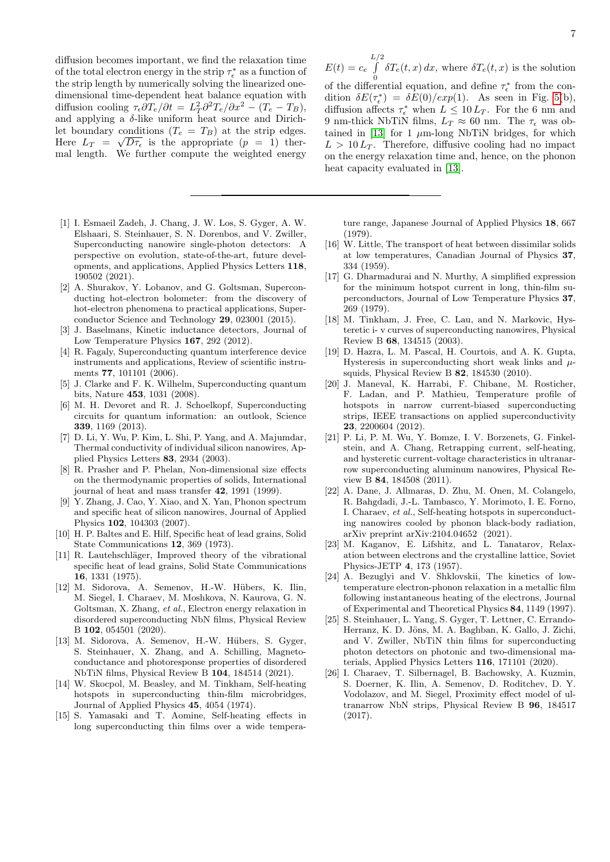diffusion becomes important, we find the relaxation time of the total electron energy in the strip  $\tau_{\epsilon}^*$  as a function of the strip length by numerically solving the linearized onedimensional time-dependent heat balance equation with diffusion cooling  $\tau_{\epsilon} \partial T_e / \partial t = L_T^2 \partial^2 T_e / \partial x^2 - (T_e - T_B)$ , and applying a  $\delta$ -like uniform heat source and Dirichlet boundary conditions  $(T_e = T_B)$  at the strip edges. Here  $L_T = \sqrt{D\tau_{\epsilon}}$  is the appropriate  $(p = 1)$  then mal length. We further compute the weighted energy

- <span id="page-6-0"></span>[1] I. Esmaeil Zadeh, J. Chang, J. W. Los, S. Gyger, A. W. Elshaari, S. Steinhauer, S. N. Dorenbos, and V. Zwiller, Superconducting nanowire single-photon detectors: A perspective on evolution, state-of-the-art, future developments, and applications, Applied Physics Letters 118, 190502 (2021).
- [2] A. Shurakov, Y. Lobanov, and G. Goltsman, Superconducting hot-electron bolometer: from the discovery of hot-electron phenomena to practical applications, Superconductor Science and Technology 29, 023001 (2015).
- [3] J. Baselmans, Kinetic inductance detectors, Journal of Low Temperature Physics 167, 292 (2012).
- [4] R. Fagaly, Superconducting quantum interference device instruments and applications, Review of scientific instruments 77, 101101 (2006).
- [5] J. Clarke and F. K. Wilhelm, Superconducting quantum bits, Nature 453, 1031 (2008).
- <span id="page-6-1"></span>[6] M. H. Devoret and R. J. Schoelkopf, Superconducting circuits for quantum information: an outlook, Science 339, 1169 (2013).
- <span id="page-6-2"></span>[7] D. Li, Y. Wu, P. Kim, L. Shi, P. Yang, and A. Majumdar, Thermal conductivity of individual silicon nanowires, Applied Physics Letters 83, 2934 (2003).
- <span id="page-6-3"></span>[8] R. Prasher and P. Phelan, Non-dimensional size effects on the thermodynamic properties of solids, International journal of heat and mass transfer 42, 1991 (1999).
- <span id="page-6-4"></span>[9] Y. Zhang, J. Cao, Y. Xiao, and X. Yan, Phonon spectrum and specific heat of silicon nanowires, Journal of Applied Physics 102, 104303 (2007).
- <span id="page-6-5"></span>[10] H. P. Baltes and E. Hilf, Specific heat of lead grains, Solid State Communications 12, 369 (1973).
- <span id="page-6-6"></span>[11] R. Lautehschläger, Improved theory of the vibrational specific heat of lead grains, Solid State Communications 16, 1331 (1975).
- <span id="page-6-7"></span>[12] M. Sidorova, A. Semenov, H.-W. Hübers, K. Ilin, M. Siegel, I. Charaev, M. Moshkova, N. Kaurova, G. N. Goltsman, X. Zhang, et al., Electron energy relaxation in disordered superconducting NbN films, Physical Review B 102, 054501 (2020).
- <span id="page-6-8"></span>[13] M. Sidorova, A. Semenov, H.-W. Hübers, S. Gyger, S. Steinhauer, X. Zhang, and A. Schilling, Magnetoconductance and photoresponse properties of disordered NbTiN films, Physical Review B 104, 184514 (2021).
- <span id="page-6-9"></span>[14] W. Skocpol, M. Beasley, and M. Tinkham, Self-heating hotspots in superconducting thin-film microbridges, Journal of Applied Physics 45, 4054 (1974).
- <span id="page-6-10"></span>[15] S. Yamasaki and T. Aomine, Self-heating effects in long superconducting thin films over a wide tempera-

$$
\int_{0}^{L/2} \delta T_e(t, x) dx
$$
, where  $\delta T_e(t, x)$  is the solution

of the differential equation, and define  $\tau_{\epsilon}^{*}$  from the condition  $\delta E(\tau_{\epsilon}^{*}) = \delta E(0) / exp(1)$ . As seen in Fig. [5\(](#page-5-3)b), diffusion affects  $\tau_{\epsilon}^*$  when  $L \leq 10 L_T$ . For the 6 nm and 9 nm-thick NbTiN films,  $L_T \approx 60$  nm. The  $\tau_{\epsilon}$  was ob-tained in [\[13\]](#page-6-8) for 1  $\mu$ m-long NbTiN bridges, for which  $L > 10 L_T$ . Therefore, diffusive cooling had no impact on the energy relaxation time and, hence, on the phonon heat capacity evaluated in [\[13\]](#page-6-8).

 $E(t) = c_e$ 

ture range, Japanese Journal of Applied Physics 18, 667 (1979).

- <span id="page-6-11"></span>[16] W. Little, The transport of heat between dissimilar solids at low temperatures, Canadian Journal of Physics 37, 334 (1959).
- <span id="page-6-12"></span>[17] G. Dharmadurai and N. Murthy, A simplified expression for the minimum hotspot current in long, thin-film superconductors, Journal of Low Temperature Physics 37, 269 (1979).
- [18] M. Tinkham, J. Free, C. Lau, and N. Markovic, Hysteretic i- v curves of superconducting nanowires, Physical Review B 68, 134515 (2003).
- [19] D. Hazra, L. M. Pascal, H. Courtois, and A. K. Gupta, Hysteresis in superconducting short weak links and  $\mu$ squids, Physical Review B 82, 184530 (2010).
- <span id="page-6-13"></span>[20] J. Maneval, K. Harrabi, F. Chibane, M. Rosticher, F. Ladan, and P. Mathieu, Temperature profile of hotspots in narrow current-biased superconducting strips, IEEE transactions on applied superconductivity 23, 2200604 (2012).
- <span id="page-6-14"></span>[21] P. Li, P. M. Wu, Y. Bomze, I. V. Borzenets, G. Finkelstein, and A. Chang, Retrapping current, self-heating, and hysteretic current-voltage characteristics in ultranarrow superconducting aluminum nanowires, Physical Review B 84, 184508 (2011).
- <span id="page-6-15"></span>[22] A. Dane, J. Allmaras, D. Zhu, M. Onen, M. Colangelo, R. Bahgdadi, J.-L. Tambasco, Y. Morimoto, I. E. Forno, I. Charaev, et al., Self-heating hotspots in superconducting nanowires cooled by phonon black-body radiation, arXiv preprint arXiv:2104.04652 (2021).
- <span id="page-6-16"></span>[23] M. Kaganov, E. Lifshitz, and L. Tanatarov, Relaxation between electrons and the crystalline lattice, Soviet Physics-JETP 4, 173 (1957).
- <span id="page-6-17"></span>[24] A. Bezuglyi and V. Shklovskii, The kinetics of lowtemperature electron-phonon relaxation in a metallic film following instantaneous heating of the electrons, Journal of Experimental and Theoretical Physics 84, 1149 (1997).
- <span id="page-6-18"></span>[25] S. Steinhauer, L. Yang, S. Gyger, T. Lettner, C. Errando-Herranz, K. D. Jöns, M. A. Baghban, K. Gallo, J. Zichi, and V. Zwiller, NbTiN thin films for superconducting photon detectors on photonic and two-dimensional materials, Applied Physics Letters 116, 171101 (2020).
- <span id="page-6-19"></span>[26] I. Charaev, T. Silbernagel, B. Bachowsky, A. Kuzmin, S. Doerner, K. Ilin, A. Semenov, D. Roditchev, D. Y. Vodolazov, and M. Siegel, Proximity effect model of ultranarrow NbN strips, Physical Review B 96, 184517 (2017).